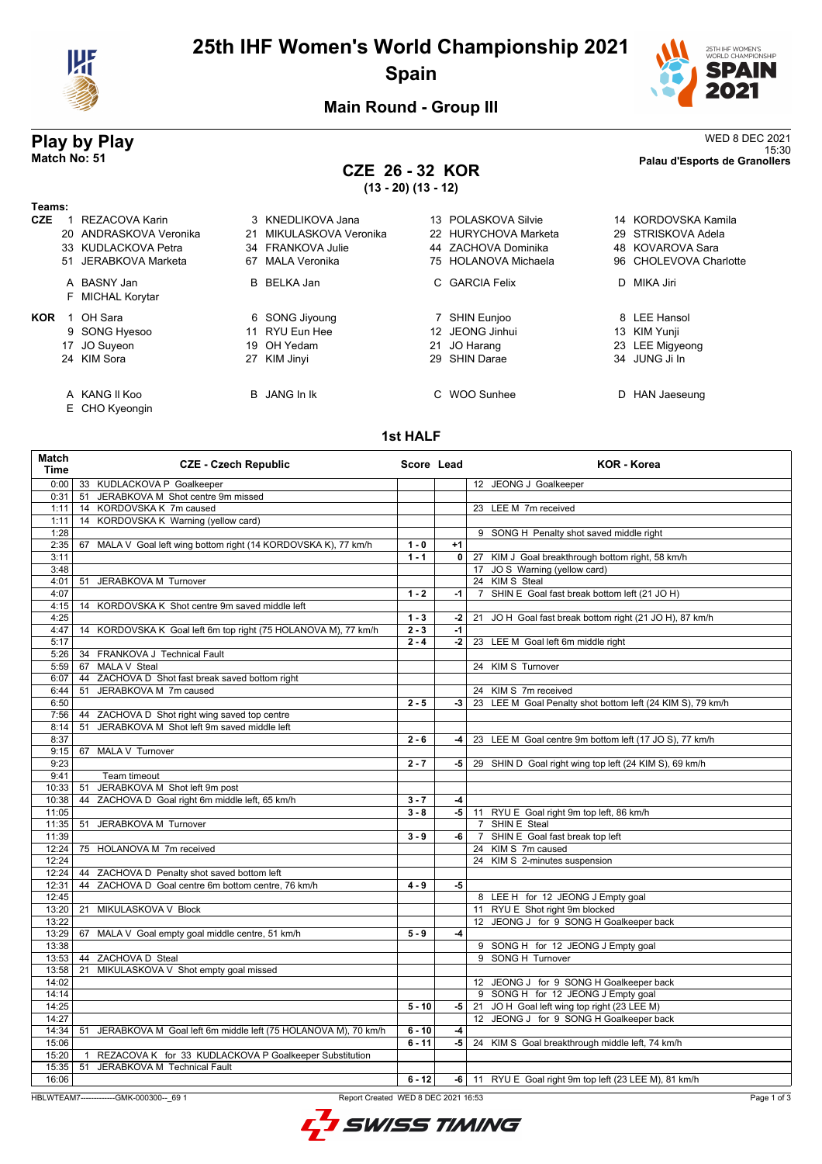

# **25th IHF Women's World Championship 2021 Spain**



# **Main Round - Group III**

## **CZE 26 - 32 KOR (13 - 20) (13 - 12)**

**Play by Play**<br>Match No: 51<br>Palau d'Esports de Granollers 15:30 **Match No: 51 Palau d'Esports de Granollers**

| Teams:                          |                            |                      |                        |
|---------------------------------|----------------------------|----------------------|------------------------|
| <b>CZE</b><br>REZACOVA Karin    | 3 KNEDLIKOVA Jana          | 13 POLASKOVA Silvie  | 14 KORDOVSKA Kamila    |
| ANDRASKOVA Veronika<br>20       | MIKULASKOVA Veronika<br>21 | 22 HURYCHOVA Marketa | STRISKOVA Adela<br>29  |
| 33 KUDLACKOVA Petra             | 34 FRANKOVA Julie          | 44 ZACHOVA Dominika  | 48 KOVAROVA Sara       |
| JERABKOVA Marketa<br>51         | <b>MALA Veronika</b><br>67 | 75 HOLANOVA Michaela | 96 CHOLEVOVA Charlotte |
| A BASNY Jan                     | B BELKA Jan                | C GARCIA Felix       | D MIKA Jiri            |
| F MICHAL Korytar                |                            |                      |                        |
| <b>KOR</b><br>1 OH Sara         | 6 SONG Jiyoung             | 7 SHIN Eunioo        | 8 LEE Hansol           |
| 9 SONG Hyesoo                   | 11 RYU Eun Hee             | 12 JEONG Jinhui      | 13 KIM Yunji           |
| 17 JO Suyeon                    | OH Yedam<br>19             | 21 JO Harang         | 23 LEE Migyeong        |
| 24 KIM Sora                     | KIM Jinyi<br>27            | 29 SHIN Darae        | 34 JUNG Ji In          |
| A KANG II Koo<br>E CHO Kyeongin | <b>B</b> JANG In Ik        | C WOO Sunhee         | HAN Jaeseung<br>D      |

### **1st HALF**

| Match<br><b>Time</b> | <b>CZE - Czech Republic</b>                                            | Score Lead |                | <b>KOR - Korea</b>                                         |
|----------------------|------------------------------------------------------------------------|------------|----------------|------------------------------------------------------------|
| 0:00                 | 33 KUDLACKOVA P Goalkeeper                                             |            |                | 12 JEONG J Goalkeeper                                      |
| 0:31                 | JERABKOVA M Shot centre 9m missed<br>51                                |            |                |                                                            |
| 1:11                 | 14 KORDOVSKA K 7m caused                                               |            |                | 23 LEE M 7m received                                       |
| 1:11                 | KORDOVSKA K Warning (yellow card)<br>14                                |            |                |                                                            |
| 1:28                 |                                                                        |            |                | 9 SONG H Penalty shot saved middle right                   |
| 2:35                 | MALA V Goal left wing bottom right (14 KORDOVSKA K), 77 km/h<br>67     | $1 - 0$    | $+1$           |                                                            |
| 3:11                 |                                                                        | $1 - 1$    | 0 <sup>1</sup> | 27 KIM J Goal breakthrough bottom right, 58 km/h           |
| 3:48                 |                                                                        |            |                | 17 JOS Warning (yellow card)                               |
| 4:01                 | JERABKOVA M Turnover<br>51                                             |            |                | 24 KIMS Steal                                              |
| 4:07                 |                                                                        | $1 - 2$    | $-1$           | 7 SHIN E Goal fast break bottom left (21 JO H)             |
| 4:15                 | KORDOVSKA K Shot centre 9m saved middle left<br>14                     |            |                |                                                            |
| 4:25                 |                                                                        | $1 - 3$    | $-2$           | JO H Goal fast break bottom right (21 JO H), 87 km/h<br>21 |
| 4:47                 | 14 KORDOVSKA K Goal left 6m top right (75 HOLANOVA M), 77 km/h         | $2 - 3$    | $-1$           |                                                            |
| 5:17                 |                                                                        | $2 - 4$    | $-2$           | 23 LEE M Goal left 6m middle right                         |
| 5:26                 | 34 FRANKOVA J Technical Fault                                          |            |                |                                                            |
| 5:59                 | MALA V Steal<br>67                                                     |            |                | 24 KIMS Turnover                                           |
| 6:07                 | ZACHOVA D Shot fast break saved bottom right<br>44                     |            |                |                                                            |
| 6:44                 | JERABKOVA M 7m caused<br>51                                            |            |                | 24 KIM S 7m received                                       |
| 6:50                 |                                                                        | $2 - 5$    | $-3$           | 23 LEE M Goal Penalty shot bottom left (24 KIM S), 79 km/h |
| 7:56                 | 44 ZACHOVA D Shot right wing saved top centre                          |            |                |                                                            |
| 8:14                 | JERABKOVA M Shot left 9m saved middle left<br>51                       |            |                |                                                            |
| 8:37                 |                                                                        | $2 - 6$    | $-4$           | 23 LEE M Goal centre 9m bottom left (17 JO S), 77 km/h     |
| 9:15                 | 67 MALA V Turnover                                                     |            |                |                                                            |
| 9:23                 |                                                                        | $2 - 7$    | $-5$           | 29 SHIN D Goal right wing top left (24 KIM S), 69 km/h     |
| 9:41                 | Team timeout                                                           |            |                |                                                            |
| 10:33                | JERABKOVA M Shot left 9m post<br>51                                    |            |                |                                                            |
| 10:38                | 44 ZACHOVA D Goal right 6m middle left, 65 km/h                        | $3 - 7$    | $-4$           |                                                            |
| 11:05                |                                                                        | $3 - 8$    | $-5$           | 11 RYU E Goal right 9m top left, 86 km/h                   |
| 11:35                | JERABKOVA M Turnover<br>51                                             |            |                | 7 SHIN E Steal                                             |
| 11:39                |                                                                        | $3 - 9$    | -6             | 7 SHIN E Goal fast break top left                          |
| 12:24                | 75 HOLANOVA M 7m received                                              |            |                | 24 KIM S 7m caused                                         |
| 12:24                |                                                                        |            |                | 24 KIM S 2-minutes suspension                              |
| 12:24                | 44 ZACHOVA D Penalty shot saved bottom left                            |            |                |                                                            |
| 12:31                | ZACHOVA D Goal centre 6m bottom centre, 76 km/h<br>44                  | $4 - 9$    | -5             |                                                            |
| 12:45                |                                                                        |            |                | 8 LEE H for 12 JEONG J Empty goal                          |
| 13:20                | MIKULASKOVA V Block<br>21                                              |            |                | 11 RYU E Shot right 9m blocked                             |
| 13:22                |                                                                        |            |                | 12 JEONG J for 9 SONG H Goalkeeper back                    |
| 13:29                | MALA V Goal empty goal middle centre, 51 km/h<br>67                    | $5 - 9$    | $-4$           |                                                            |
| 13:38                |                                                                        |            |                | 9 SONG H for 12 JEONG J Empty goal                         |
| 13:53                | ZACHOVA D Steal<br>44                                                  |            |                | 9 SONG H Turnover                                          |
| 13:58                | 21 MIKULASKOVA V Shot empty goal missed                                |            |                |                                                            |
| 14:02                |                                                                        |            |                | 12 JEONG J for 9 SONG H Goalkeeper back                    |
| 14:14                |                                                                        |            |                | 9 SONG H for 12 JEONG J Empty goal                         |
| 14:25                |                                                                        | $5 - 10$   | $-5$           | 21 JO H Goal left wing top right (23 LEE M)                |
| 14:27                |                                                                        |            |                | 12 JEONG J for 9 SONG H Goalkeeper back                    |
| 14:34                | 51 JERABKOVA M Goal left 6m middle left (75 HOLANOVA M), 70 km/h       | $6 - 10$   | $-4$           |                                                            |
| 15:06                |                                                                        | $6 - 11$   | -5             | 24 KIM S Goal breakthrough middle left, 74 km/h            |
| 15:20                | REZACOVA K for 33 KUDLACKOVA P Goalkeeper Substitution<br>$\mathbf{1}$ |            |                |                                                            |
| 15:35                | JERABKOVA M Technical Fault<br>51                                      |            |                |                                                            |
| 16:06                |                                                                        | $6 - 12$   |                | -6   11 RYU E Goal right 9m top left (23 LEE M), 81 km/h   |
|                      |                                                                        |            |                |                                                            |

HBLWTEAM7--------------GMK-000300--\_69 1 Report Created WED 8 DEC 2021 16:53

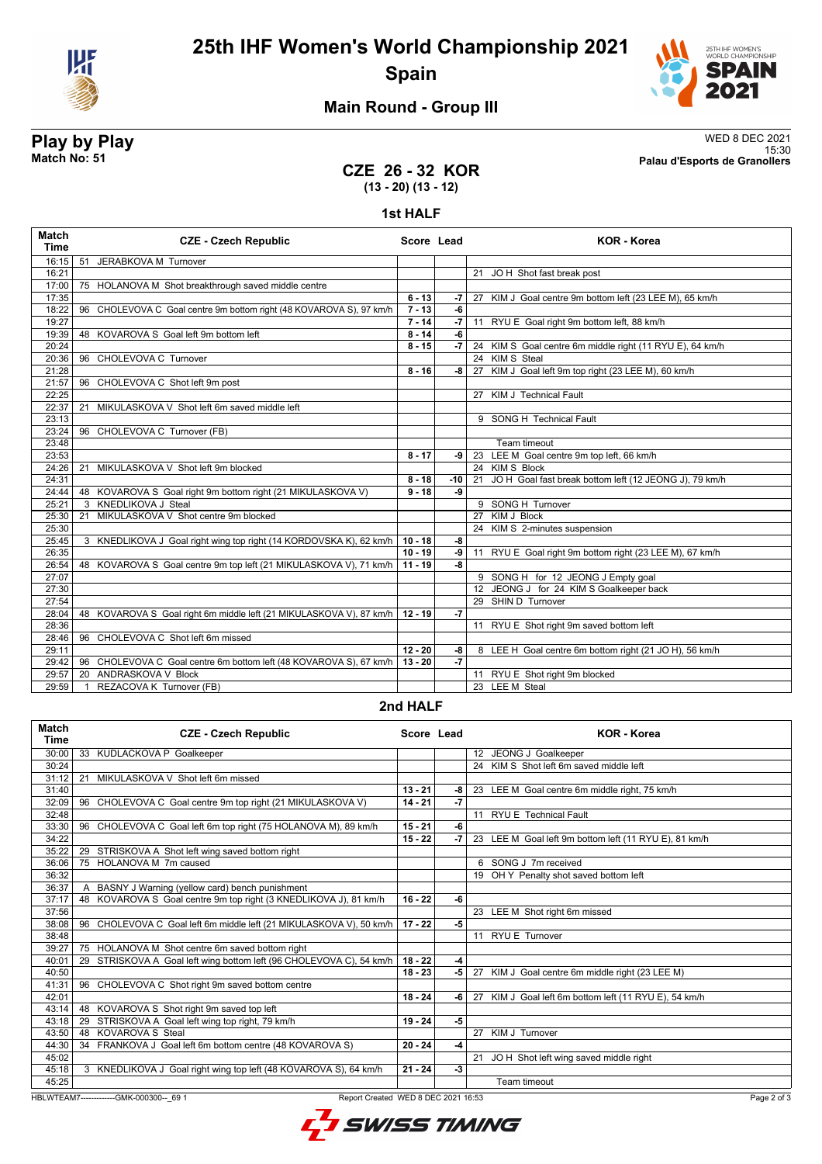



# **Main Round - Group III**

**Play by Play**<br>Match No: 51<br>Palau d'Esports de Granollers 15:30 **Match No: 51 Palau d'Esports de Granollers**

### **CZE 26 - 32 KOR (13 - 20) (13 - 12)**

#### **1st HALF**

| <b>Match</b><br><b>Time</b> | <b>CZE - Czech Republic</b>                                            | Score Lead |                 | <b>KOR - Korea</b>                                         |
|-----------------------------|------------------------------------------------------------------------|------------|-----------------|------------------------------------------------------------|
| 16:15                       | 51<br>JERABKOVA M Turnover                                             |            |                 |                                                            |
| 16:21                       |                                                                        |            |                 | 21 JOH Shot fast break post                                |
| 17:00                       | 75 HOLANOVA M Shot breakthrough saved middle centre                    |            |                 |                                                            |
| 17:35                       |                                                                        | $6 - 13$   | -7              | 27<br>KIM J Goal centre 9m bottom left (23 LEE M), 65 km/h |
| 18:22                       | CHOLEVOVA C Goal centre 9m bottom right (48 KOVAROVA S), 97 km/h<br>96 | $7 - 13$   | -6              |                                                            |
| 19:27                       |                                                                        | $7 - 14$   | $-7$            | 11 RYU E Goal right 9m bottom left, 88 km/h                |
| 19:39                       | 48 KOVAROVA S Goal left 9m bottom left                                 | $8 - 14$   | $-6$            |                                                            |
| 20:24                       |                                                                        | $8 - 15$   | $-7$            | 24 KIM S Goal centre 6m middle right (11 RYU E), 64 km/h   |
| 20:36                       | 96 CHOLEVOVA C Turnover                                                |            |                 | 24 KIM S Steal                                             |
| 21:28                       |                                                                        | $8 - 16$   | -8              | 27 KIM J Goal left 9m top right (23 LEE M), 60 km/h        |
| 21:57                       | 96 CHOLEVOVA C Shot left 9m post                                       |            |                 |                                                            |
| 22:25                       |                                                                        |            |                 | 27 KIM J Technical Fault                                   |
| 22:37                       | 21<br>MIKULASKOVA V Shot left 6m saved middle left                     |            |                 |                                                            |
| 23:13                       |                                                                        |            |                 | 9 SONG H Technical Fault                                   |
| 23:24                       | 96 CHOLEVOVA C Turnover (FB)                                           |            |                 |                                                            |
| 23:48                       |                                                                        |            |                 | Team timeout                                               |
| 23:53                       |                                                                        | $8 - 17$   | -9              | 23 LEE M Goal centre 9m top left, 66 km/h                  |
| 24:26                       | MIKULASKOVA V Shot left 9m blocked<br>21                               |            |                 | 24 KIM S Block                                             |
| 24:31                       |                                                                        | $8 - 18$   | -10 l           | 21 JO H Goal fast break bottom left (12 JEONG J), 79 km/h  |
| 24:44                       | 48 KOVAROVA S Goal right 9m bottom right (21 MIKULASKOVA V)            | $9 - 18$   | -9              |                                                            |
| 25:21                       | 3 KNEDLIKOVA J Steal                                                   |            |                 | 9 SONG H Turnover                                          |
| 25:30                       | MIKULASKOVA V Shot centre 9m blocked<br>21                             |            |                 | 27 KIM J Block                                             |
| 25:30                       |                                                                        |            |                 | 24 KIM S 2-minutes suspension                              |
| 25:45                       | 3 KNEDLIKOVA J Goal right wing top right (14 KORDOVSKA K), 62 km/h     | $10 - 18$  | -8              |                                                            |
| 26:35                       |                                                                        | $10 - 19$  | $-9$            | 11 RYU E Goal right 9m bottom right (23 LEE M), 67 km/h    |
| 26:54                       | 48 KOVAROVA S Goal centre 9m top left (21 MIKULASKOVA V), 71 km/h      | $11 - 19$  | -8              |                                                            |
| 27:07                       |                                                                        |            |                 | 9 SONG H for 12 JEONG J Empty goal                         |
| 27:30                       |                                                                        |            |                 | 12 JEONG J for 24 KIM S Goalkeeper back                    |
| 27:54                       |                                                                        |            |                 | 29 SHIN D Turnover                                         |
| 28:04                       | 48 KOVAROVA S Goal right 6m middle left (21 MIKULASKOVA V), 87 km/h    | $12 - 19$  | $-7$            |                                                            |
| 28:36                       |                                                                        |            |                 | 11 RYU E Shot right 9m saved bottom left                   |
| 28:46                       | 96 CHOLEVOVA C Shot left 6m missed                                     |            |                 |                                                            |
| 29:11                       |                                                                        | $12 - 20$  | -8              | 8 LEE H Goal centre 6m bottom right (21 JO H), 56 km/h     |
| 29:42                       | 96 CHOLEVOVA C Goal centre 6m bottom left (48 KOVAROVA S), 67 km/h     | $13 - 20$  | $\overline{.7}$ |                                                            |
| 29:57                       | ANDRASKOVA V Block<br>20                                               |            |                 | 11 RYU E Shot right 9m blocked                             |
| 29:59                       | REZACOVA K Turnover (FB)                                               |            |                 | 23 LEE M Steal                                             |
|                             |                                                                        |            |                 |                                                            |

#### **2nd HALF**

| <b>Match</b><br>Time                                                                           | <b>CZE - Czech Republic</b>                                            | Score Lead |      | <b>KOR - Korea</b>                                    |
|------------------------------------------------------------------------------------------------|------------------------------------------------------------------------|------------|------|-------------------------------------------------------|
| 30:00                                                                                          | 33 KUDLACKOVA P Goalkeeper                                             |            |      | 12 JEONG J Goalkeeper                                 |
| 30:24                                                                                          |                                                                        |            |      | 24 KIM S Shot left 6m saved middle left               |
| 31:12                                                                                          | MIKULASKOVA V Shot left 6m missed<br>21                                |            |      |                                                       |
| 31:40                                                                                          |                                                                        | $13 - 21$  | -8   | 23 LEE M Goal centre 6m middle right, 75 km/h         |
| 32:09                                                                                          | 96 CHOLEVOVA C Goal centre 9m top right (21 MIKULASKOVA V)             | $14 - 21$  | $-7$ |                                                       |
| 32:48                                                                                          |                                                                        |            |      | 11 RYU E Technical Fault                              |
| 33:30                                                                                          | 96 CHOLEVOVA C Goal left 6m top right (75 HOLANOVA M), 89 km/h         | $15 - 21$  | -6   |                                                       |
| 34:22                                                                                          |                                                                        | $15 - 22$  | $-7$ | 23 LEE M Goal left 9m bottom left (11 RYU E), 81 km/h |
| 35:22                                                                                          | STRISKOVA A Shot left wing saved bottom right<br>29                    |            |      |                                                       |
| 36:06                                                                                          | HOLANOVA M 7m caused<br>75                                             |            |      | 6 SONG J 7m received                                  |
| 36:32                                                                                          |                                                                        |            |      | 19 OH Y Penalty shot saved bottom left                |
| 36:37                                                                                          | A BASNY J Warning (yellow card) bench punishment                       |            |      |                                                       |
| 37:17                                                                                          | 48 KOVAROVA S Goal centre 9m top right (3 KNEDLIKOVA J), 81 km/h       | $16 - 22$  | -6   |                                                       |
| 37:56                                                                                          |                                                                        |            |      | 23 LEE M Shot right 6m missed                         |
| 38:08                                                                                          | 96 CHOLEVOVA C Goal left 6m middle left (21 MIKULASKOVA V), 50 km/h    | $17 - 22$  | -5   |                                                       |
| 38:48                                                                                          |                                                                        |            |      | 11 RYU E Turnover                                     |
| 39:27                                                                                          | 75 HOLANOVA M Shot centre 6m saved bottom right                        |            |      |                                                       |
| 40:01                                                                                          | STRISKOVA A Goal left wing bottom left (96 CHOLEVOVA C), 54 km/h<br>29 | $18 - 22$  | $-4$ |                                                       |
| 40:50                                                                                          |                                                                        | $18 - 23$  | $-5$ | 27 KIM J Goal centre 6m middle right (23 LEE M)       |
| 41:31                                                                                          | 96 CHOLEVOVA C Shot right 9m saved bottom centre                       |            |      |                                                       |
| 42:01                                                                                          |                                                                        | $18 - 24$  | -6   | 27 KIM J Goal left 6m bottom left (11 RYU E), 54 km/h |
| 43:14                                                                                          | 48 KOVAROVA S Shot right 9m saved top left                             |            |      |                                                       |
| 43:18                                                                                          | 29 STRISKOVA A Goal left wing top right, 79 km/h                       | $19 - 24$  | $-5$ |                                                       |
| 43:50                                                                                          | <b>KOVAROVA S Steal</b><br>48                                          |            |      | 27 KIM J Turnover                                     |
| 44:30                                                                                          | 34 FRANKOVA J Goal left 6m bottom centre (48 KOVAROVA S)               | $20 - 24$  | $-4$ |                                                       |
| 45:02                                                                                          |                                                                        |            |      | JO H Shot left wing saved middle right<br>21          |
| 45:18                                                                                          | 3 KNEDLIKOVA J Goal right wing top left (48 KOVAROVA S), 64 km/h       | $21 - 24$  | $-3$ |                                                       |
| 45:25                                                                                          |                                                                        |            |      | Team timeout                                          |
| HBLWTEAM7--------------GMK-000300-- 69 1<br>Report Created WED 8 DEC 2021 16:53<br>Page 2 of 3 |                                                                        |            |      |                                                       |